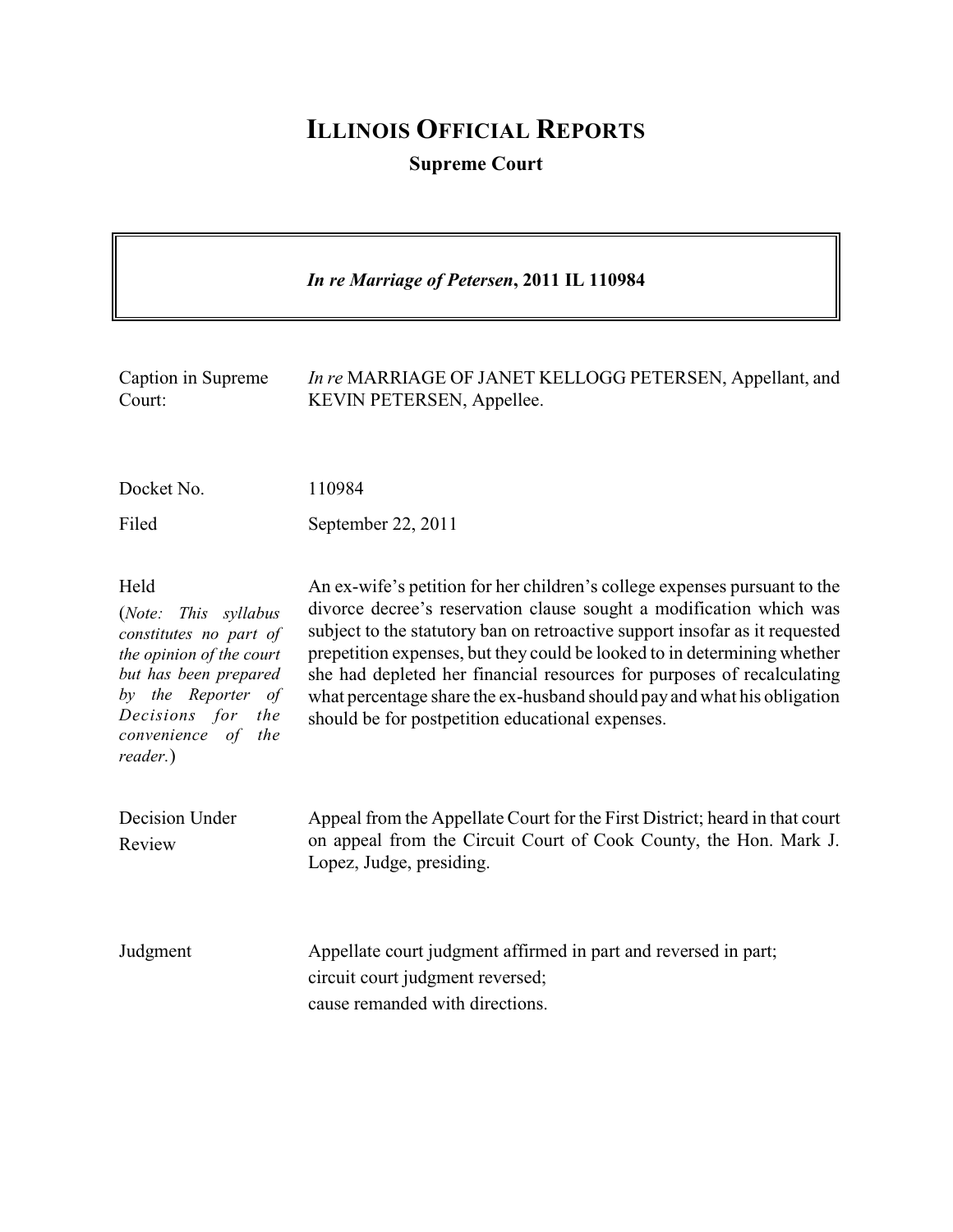# **ILLINOIS OFFICIAL REPORTS**

**Supreme Court**

|                                                                                                                                                                                                   | In re Marriage of Petersen, 2011 IL 110984                                                                                                                                                                                                                                                                                                                                                                                                                                                                           |
|---------------------------------------------------------------------------------------------------------------------------------------------------------------------------------------------------|----------------------------------------------------------------------------------------------------------------------------------------------------------------------------------------------------------------------------------------------------------------------------------------------------------------------------------------------------------------------------------------------------------------------------------------------------------------------------------------------------------------------|
| Caption in Supreme<br>Court:                                                                                                                                                                      | In re MARRIAGE OF JANET KELLOGG PETERSEN, Appellant, and<br>KEVIN PETERSEN, Appellee.                                                                                                                                                                                                                                                                                                                                                                                                                                |
| Docket No.                                                                                                                                                                                        | 110984                                                                                                                                                                                                                                                                                                                                                                                                                                                                                                               |
| Filed                                                                                                                                                                                             | September 22, 2011                                                                                                                                                                                                                                                                                                                                                                                                                                                                                                   |
| Held<br>(Note:<br>This syllabus<br>constitutes no part of<br>the opinion of the court<br>but has been prepared<br>by the Reporter of<br>Decisions for<br>the<br>convenience of<br>the<br>reader.) | An ex-wife's petition for her children's college expenses pursuant to the<br>divorce decree's reservation clause sought a modification which was<br>subject to the statutory ban on retroactive support insofar as it requested<br>prepetition expenses, but they could be looked to in determining whether<br>she had depleted her financial resources for purposes of recalculating<br>what percentage share the ex-husband should pay and what his obligation<br>should be for postpetition educational expenses. |
| Decision Under<br>Review                                                                                                                                                                          | Appeal from the Appellate Court for the First District; heard in that court<br>on appeal from the Circuit Court of Cook County, the Hon. Mark J.<br>Lopez, Judge, presiding.                                                                                                                                                                                                                                                                                                                                         |
| Judgment                                                                                                                                                                                          | Appellate court judgment affirmed in part and reversed in part;<br>circuit court judgment reversed;<br>cause remanded with directions.                                                                                                                                                                                                                                                                                                                                                                               |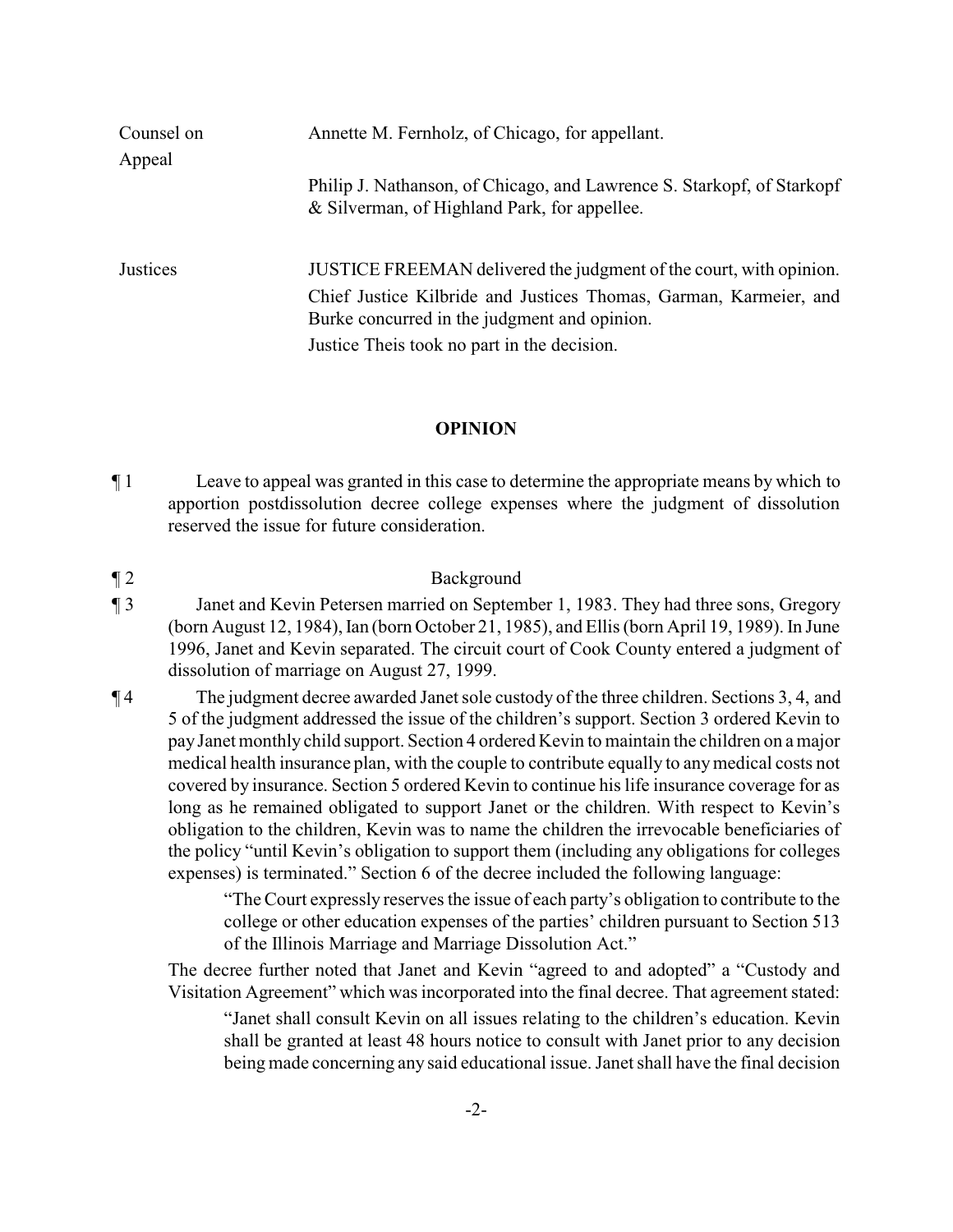| Counsel on | Annette M. Fernholz, of Chicago, for appellant.                                                                        |
|------------|------------------------------------------------------------------------------------------------------------------------|
| Appeal     |                                                                                                                        |
|            | Philip J. Nathanson, of Chicago, and Lawrence S. Starkopf, of Starkopf<br>& Silverman, of Highland Park, for appellee. |
| Justices   | JUSTICE FREEMAN delivered the judgment of the court, with opinion.                                                     |
|            | Chief Justice Kilbride and Justices Thomas, Garman, Karmeier, and<br>Burke concurred in the judgment and opinion.      |
|            | Justice Theis took no part in the decision.                                                                            |

### **OPINION**

¶ 1 Leave to appeal was granted in this case to determine the appropriate means by which to apportion postdissolution decree college expenses where the judgment of dissolution reserved the issue for future consideration.

¶ 2 Background

- ¶ 3 Janet and Kevin Petersen married on September 1, 1983. They had three sons, Gregory (born August 12, 1984), Ian (born October 21, 1985), and Ellis (born April 19, 1989). In June 1996, Janet and Kevin separated. The circuit court of Cook County entered a judgment of dissolution of marriage on August 27, 1999.
- ¶ 4 The judgment decree awarded Janet sole custody of the three children. Sections 3, 4, and 5 of the judgment addressed the issue of the children's support. Section 3 ordered Kevin to pay Janet monthly child support. Section 4 ordered Kevin to maintain the children on a major medical health insurance plan, with the couple to contribute equally to anymedical costs not covered by insurance. Section 5 ordered Kevin to continue his life insurance coverage for as long as he remained obligated to support Janet or the children. With respect to Kevin's obligation to the children, Kevin was to name the children the irrevocable beneficiaries of the policy "until Kevin's obligation to support them (including any obligations for colleges expenses) is terminated." Section 6 of the decree included the following language:

"TheCourt expressly reserves the issue of each party's obligation to contribute to the college or other education expenses of the parties' children pursuant to Section 513 of the Illinois Marriage and Marriage Dissolution Act."

The decree further noted that Janet and Kevin "agreed to and adopted" a "Custody and Visitation Agreement" which was incorporated into the final decree. That agreement stated:

"Janet shall consult Kevin on all issues relating to the children's education. Kevin shall be granted at least 48 hours notice to consult with Janet prior to any decision being made concerning any said educational issue. Janet shall have the final decision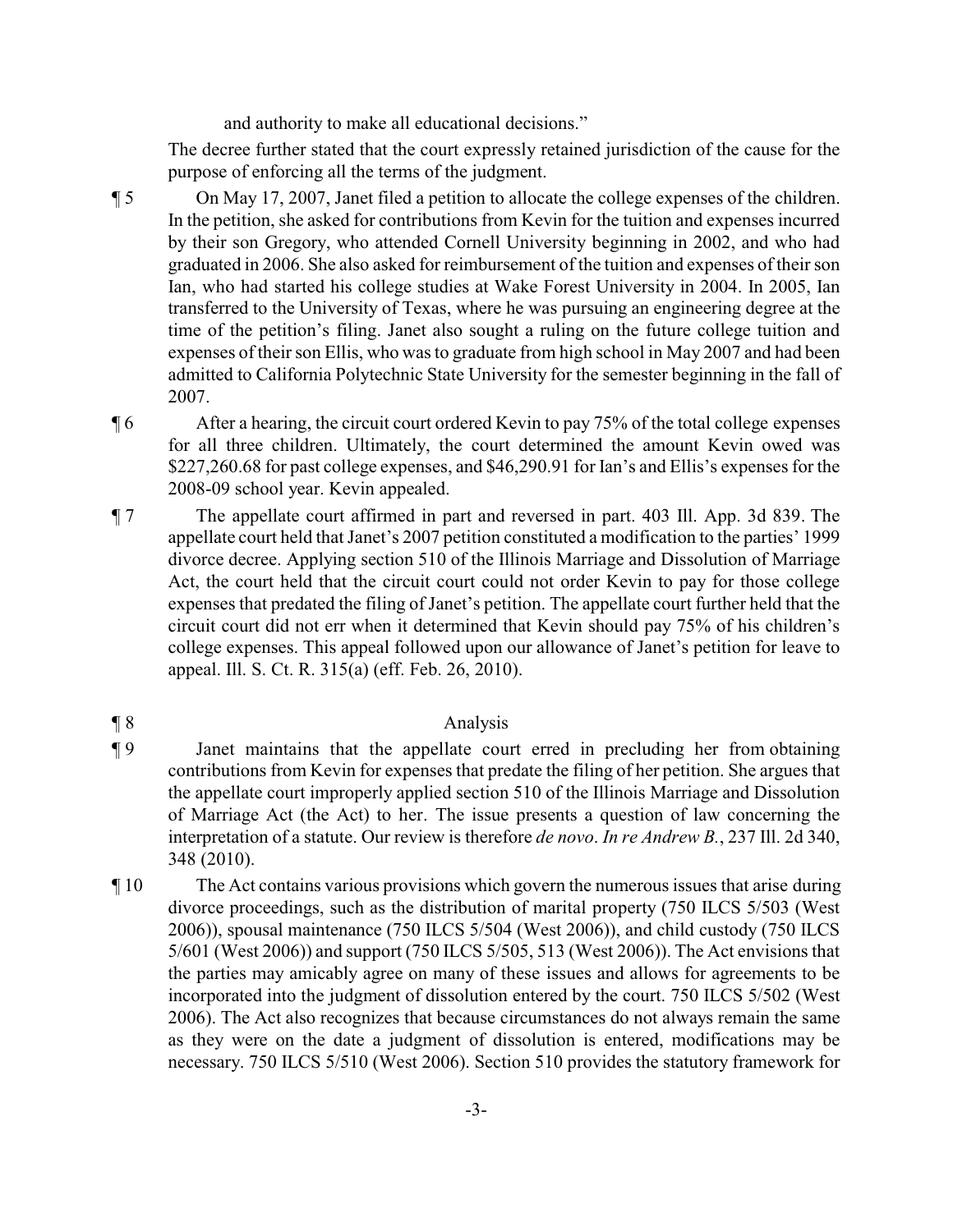and authority to make all educational decisions."

The decree further stated that the court expressly retained jurisdiction of the cause for the purpose of enforcing all the terms of the judgment.

- ¶ 5 On May 17, 2007, Janet filed a petition to allocate the college expenses of the children. In the petition, she asked for contributions from Kevin for the tuition and expenses incurred by their son Gregory, who attended Cornell University beginning in 2002, and who had graduated in 2006. She also asked for reimbursement of the tuition and expenses of their son Ian, who had started his college studies at Wake Forest University in 2004. In 2005, Ian transferred to the University of Texas, where he was pursuing an engineering degree at the time of the petition's filing. Janet also sought a ruling on the future college tuition and expenses of their son Ellis, who was to graduate from high school in May 2007 and had been admitted to California Polytechnic State University for the semester beginning in the fall of 2007.
- ¶ 6 After a hearing, the circuit court ordered Kevin to pay 75% of the total college expenses for all three children. Ultimately, the court determined the amount Kevin owed was \$227,260.68 for past college expenses, and \$46,290.91 for Ian's and Ellis's expenses for the 2008-09 school year. Kevin appealed.
- ¶ 7 The appellate court affirmed in part and reversed in part. 403 Ill. App. 3d 839. The appellate court held that Janet's 2007 petition constituted a modification to the parties' 1999 divorce decree. Applying section 510 of the Illinois Marriage and Dissolution of Marriage Act, the court held that the circuit court could not order Kevin to pay for those college expenses that predated the filing of Janet's petition. The appellate court further held that the circuit court did not err when it determined that Kevin should pay 75% of his children's college expenses. This appeal followed upon our allowance of Janet's petition for leave to appeal. Ill. S. Ct. R. 315(a) (eff. Feb. 26, 2010).

# ¶ 8 Analysis

- ¶ 9 Janet maintains that the appellate court erred in precluding her from obtaining contributions from Kevin for expenses that predate the filing of her petition. She argues that the appellate court improperly applied section 510 of the Illinois Marriage and Dissolution of Marriage Act (the Act) to her. The issue presents a question of law concerning the interpretation of a statute. Our review is therefore *de novo*. *In re Andrew B.*, 237 Ill. 2d 340, 348 (2010).
- ¶ 10 The Act contains various provisions which govern the numerous issues that arise during divorce proceedings, such as the distribution of marital property (750 ILCS 5/503 (West 2006)), spousal maintenance (750 ILCS 5/504 (West 2006)), and child custody (750 ILCS 5/601 (West 2006)) and support (750 ILCS 5/505, 513 (West 2006)). The Act envisions that the parties may amicably agree on many of these issues and allows for agreements to be incorporated into the judgment of dissolution entered by the court. 750 ILCS 5/502 (West 2006). The Act also recognizes that because circumstances do not always remain the same as they were on the date a judgment of dissolution is entered, modifications may be necessary. 750 ILCS 5/510 (West 2006). Section 510 provides the statutory framework for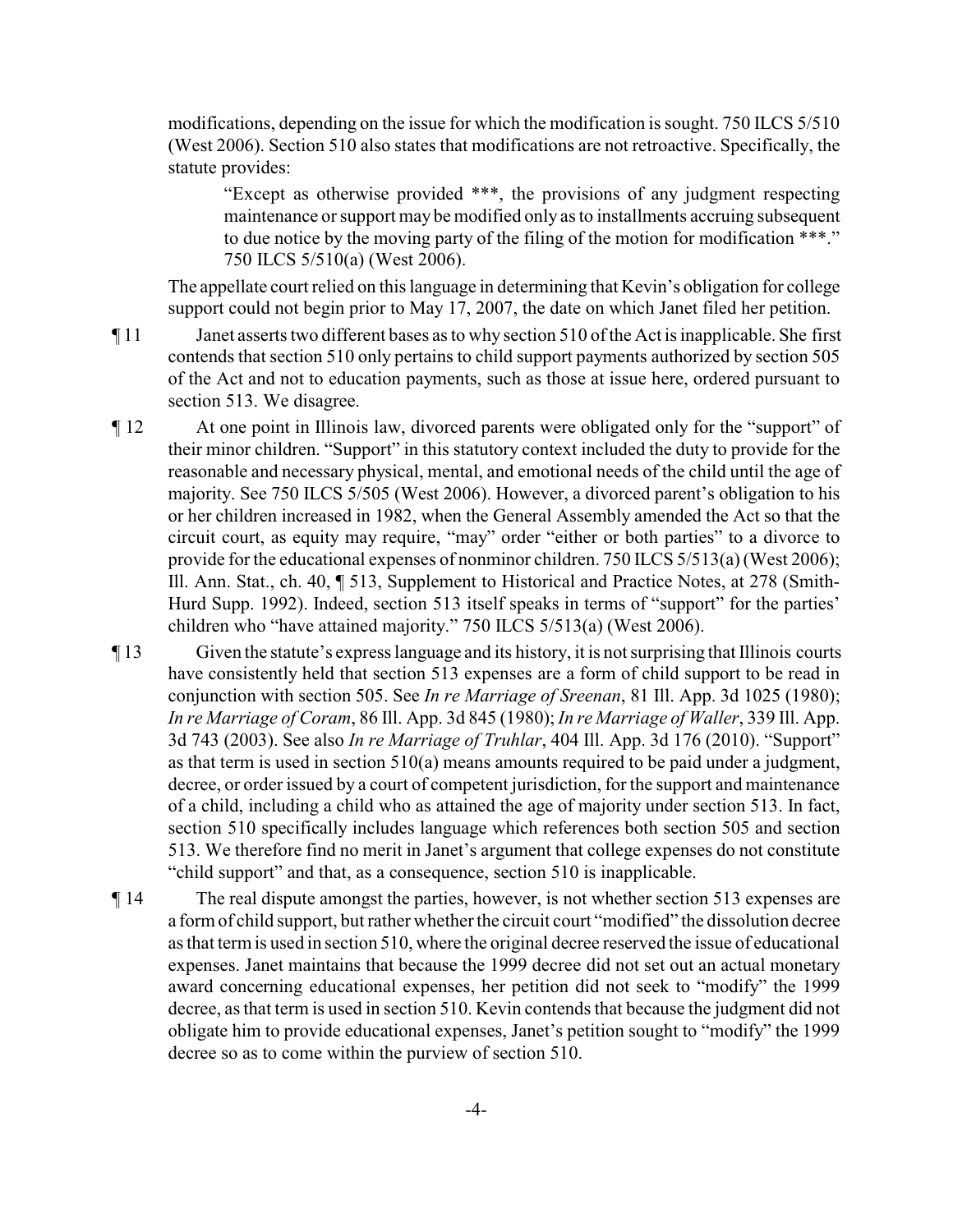modifications, depending on the issue for which the modification is sought. 750 ILCS 5/510 (West 2006). Section 510 also states that modifications are not retroactive. Specifically, the statute provides:

"Except as otherwise provided \*\*\*, the provisions of any judgment respecting maintenance or support may be modified only as to installments accruing subsequent to due notice by the moving party of the filing of the motion for modification \*\*\*." 750 ILCS 5/510(a) (West 2006).

The appellate court relied on this language in determining that Kevin's obligation for college support could not begin prior to May 17, 2007, the date on which Janet filed her petition.

- ¶ 11 Janet asserts two different bases as to why section 510 of the Act is inapplicable. She first contends that section 510 only pertains to child support payments authorized by section 505 of the Act and not to education payments, such as those at issue here, ordered pursuant to section 513. We disagree.
- ¶ 12 At one point in Illinois law, divorced parents were obligated only for the "support" of their minor children. "Support" in this statutory context included the duty to provide for the reasonable and necessary physical, mental, and emotional needs of the child until the age of majority. See 750 ILCS 5/505 (West 2006). However, a divorced parent's obligation to his or her children increased in 1982, when the General Assembly amended the Act so that the circuit court, as equity may require, "may" order "either or both parties" to a divorce to provide for the educational expenses of nonminor children. 750 ILCS 5/513(a) (West 2006); Ill. Ann. Stat., ch. 40, ¶ 513, Supplement to Historical and Practice Notes, at 278 (Smith-Hurd Supp. 1992). Indeed, section 513 itself speaks in terms of "support" for the parties' children who "have attained majority." 750 ILCS 5/513(a) (West 2006).
- ¶ 13 Given the statute's express language and its history, it is not surprising that Illinois courts have consistently held that section 513 expenses are a form of child support to be read in conjunction with section 505. See *In re Marriage of Sreenan*, 81 Ill. App. 3d 1025 (1980); *In re Marriage of Coram*, 86 Ill. App. 3d 845 (1980); *In re Marriage of Waller*, 339 Ill. App. 3d 743 (2003). See also *In re Marriage of Truhlar*, 404 Ill. App. 3d 176 (2010). "Support" as that term is used in section 510(a) means amounts required to be paid under a judgment, decree, or order issued by a court of competent jurisdiction, for the support and maintenance of a child, including a child who as attained the age of majority under section 513. In fact, section 510 specifically includes language which references both section 505 and section 513. We therefore find no merit in Janet's argument that college expenses do not constitute "child support" and that, as a consequence, section 510 is inapplicable.
- ¶ 14 The real dispute amongst the parties, however, is not whether section 513 expenses are a form of child support, but rather whether the circuit court "modified" the dissolution decree as that term is used in section 510, where the original decree reserved the issue of educational expenses. Janet maintains that because the 1999 decree did not set out an actual monetary award concerning educational expenses, her petition did not seek to "modify" the 1999 decree, as that term is used in section 510. Kevin contends that because the judgment did not obligate him to provide educational expenses, Janet's petition sought to "modify" the 1999 decree so as to come within the purview of section 510.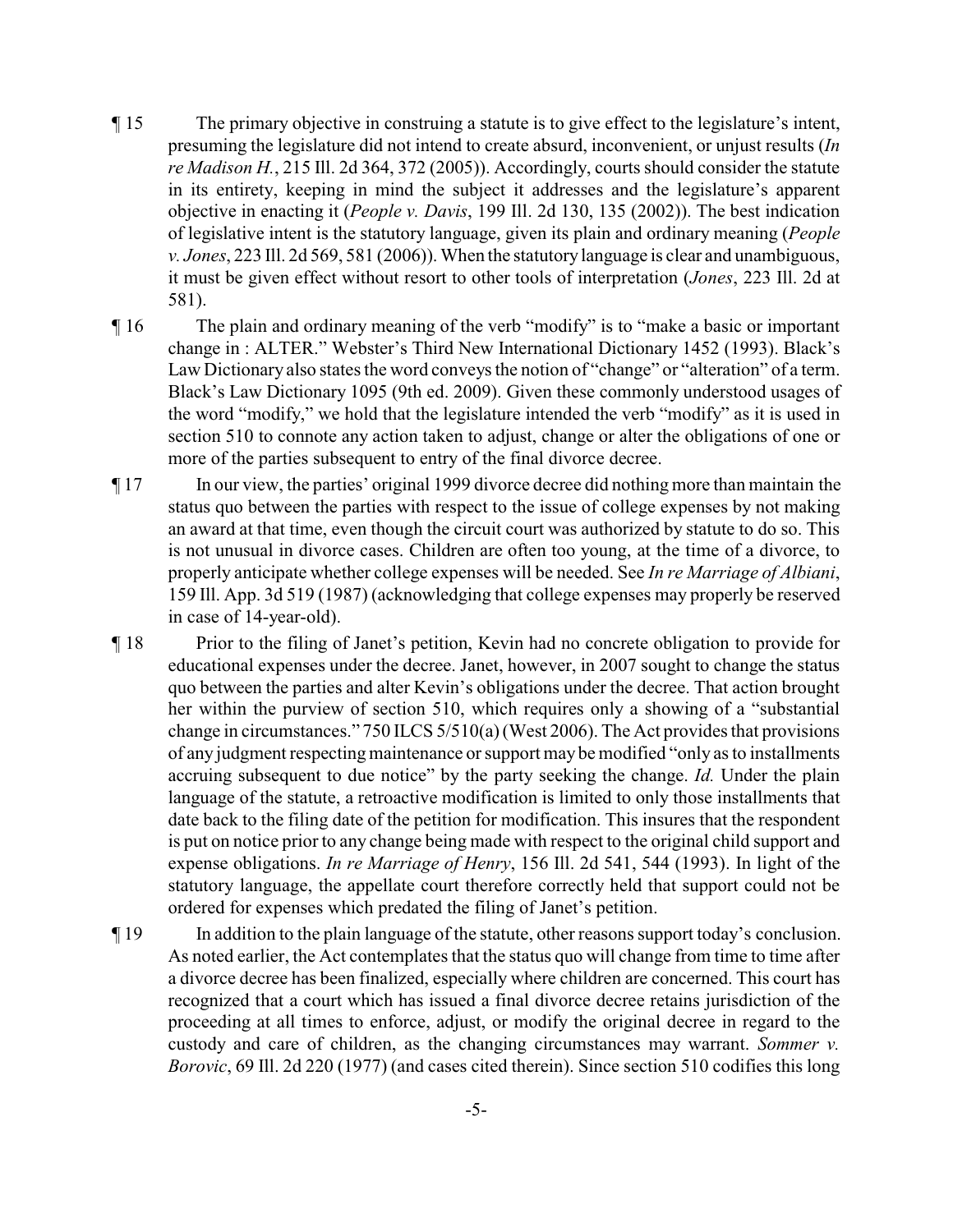- ¶ 15 The primary objective in construing a statute is to give effect to the legislature's intent, presuming the legislature did not intend to create absurd, inconvenient, or unjust results (*In re Madison H.*, 215 Ill. 2d 364, 372 (2005)). Accordingly, courts should consider the statute in its entirety, keeping in mind the subject it addresses and the legislature's apparent objective in enacting it (*People v. Davis*, 199 Ill. 2d 130, 135 (2002)). The best indication of legislative intent is the statutory language, given its plain and ordinary meaning (*People v. Jones*, 223 Ill. 2d 569, 581 (2006)). When the statutorylanguage is clear and unambiguous, it must be given effect without resort to other tools of interpretation (*Jones*, 223 Ill. 2d at 581).
- ¶ 16 The plain and ordinary meaning of the verb "modify" is to "make a basic or important change in : ALTER." Webster's Third New International Dictionary 1452 (1993). Black's Law Dictionary also states the word conveys the notion of "change" or "alteration" of a term. Black's Law Dictionary 1095 (9th ed. 2009). Given these commonly understood usages of the word "modify," we hold that the legislature intended the verb "modify" as it is used in section 510 to connote any action taken to adjust, change or alter the obligations of one or more of the parties subsequent to entry of the final divorce decree.
- ¶ 17 In our view, the parties' original 1999 divorce decree did nothing more than maintain the status quo between the parties with respect to the issue of college expenses by not making an award at that time, even though the circuit court was authorized by statute to do so. This is not unusual in divorce cases. Children are often too young, at the time of a divorce, to properly anticipate whether college expenses will be needed. See *In re Marriage of Albiani*, 159 Ill. App. 3d 519 (1987) (acknowledging that college expenses may properly be reserved in case of 14-year-old).
- ¶ 18 Prior to the filing of Janet's petition, Kevin had no concrete obligation to provide for educational expenses under the decree. Janet, however, in 2007 sought to change the status quo between the parties and alter Kevin's obligations under the decree. That action brought her within the purview of section 510, which requires only a showing of a "substantial change in circumstances." 750 ILCS 5/510(a) (West 2006). The Act provides that provisions of any judgment respecting maintenance or support may be modified "only as to installments" accruing subsequent to due notice" by the party seeking the change. *Id.* Under the plain language of the statute, a retroactive modification is limited to only those installments that date back to the filing date of the petition for modification. This insures that the respondent is put on notice prior to any change being made with respect to the original child support and expense obligations. *In re Marriage of Henry*, 156 Ill. 2d 541, 544 (1993). In light of the statutory language, the appellate court therefore correctly held that support could not be ordered for expenses which predated the filing of Janet's petition.
- ¶ 19 In addition to the plain language of the statute, other reasons support today's conclusion. As noted earlier, the Act contemplates that the status quo will change from time to time after a divorce decree has been finalized, especially where children are concerned. This court has recognized that a court which has issued a final divorce decree retains jurisdiction of the proceeding at all times to enforce, adjust, or modify the original decree in regard to the custody and care of children, as the changing circumstances may warrant. *Sommer v. Borovic*, 69 Ill. 2d 220 (1977) (and cases cited therein). Since section 510 codifies this long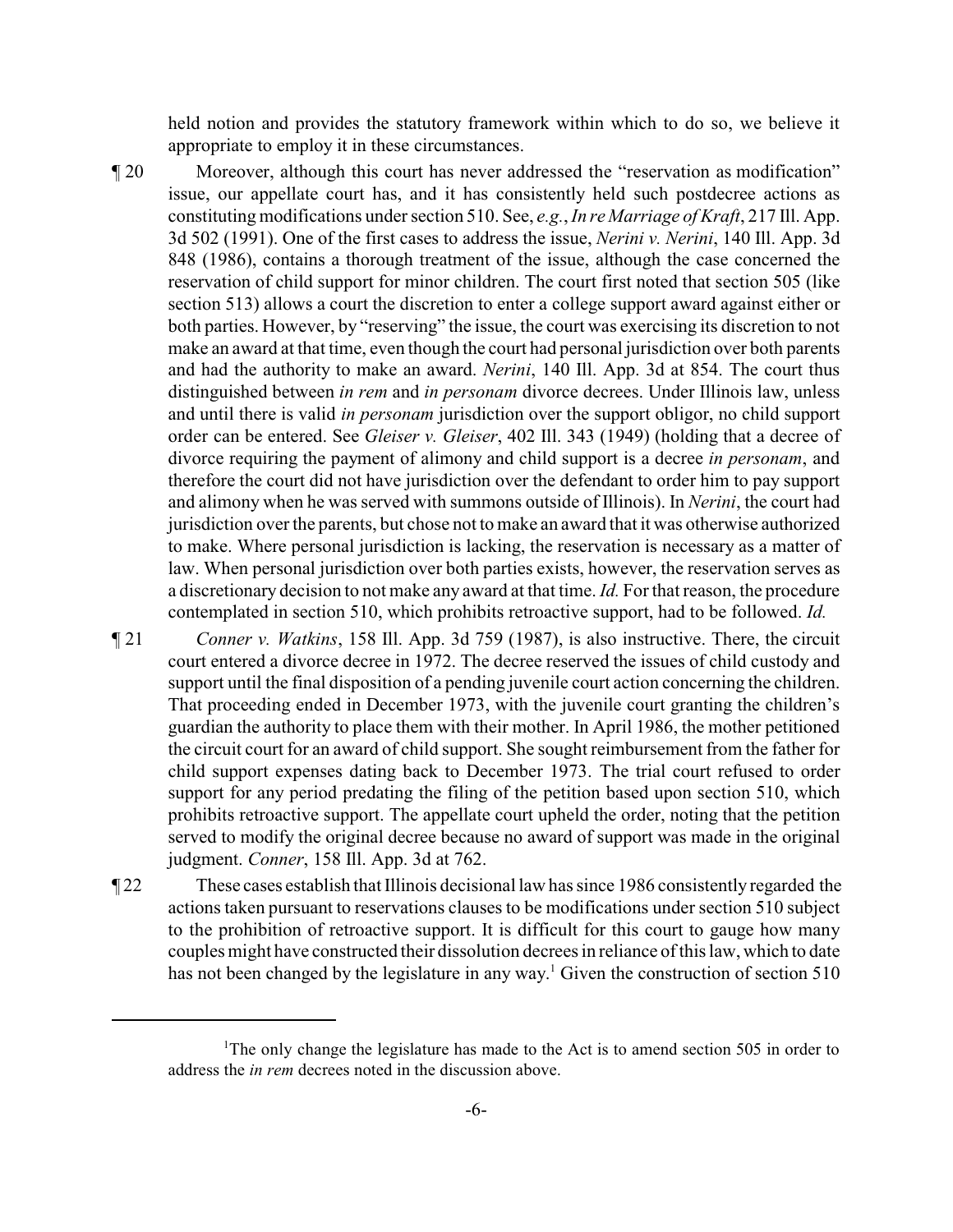held notion and provides the statutory framework within which to do so, we believe it appropriate to employ it in these circumstances.

- ¶ 20 Moreover, although this court has never addressed the "reservation as modification" issue, our appellate court has, and it has consistently held such postdecree actions as constituting modifications under section 510. See, *e.g.*, *In re Marriage of Kraft*, 217 Ill. App. 3d 502 (1991). One of the first cases to address the issue, *Nerini v. Nerini*, 140 Ill. App. 3d 848 (1986), contains a thorough treatment of the issue, although the case concerned the reservation of child support for minor children. The court first noted that section 505 (like section 513) allows a court the discretion to enter a college support award against either or both parties. However, by "reserving" the issue, the court was exercising its discretion to not make an award at that time, even though the court had personal jurisdiction over both parents and had the authority to make an award. *Nerini*, 140 Ill. App. 3d at 854. The court thus distinguished between *in rem* and *in personam* divorce decrees. Under Illinois law, unless and until there is valid *in personam* jurisdiction over the support obligor, no child support order can be entered. See *Gleiser v. Gleiser*, 402 Ill. 343 (1949) (holding that a decree of divorce requiring the payment of alimony and child support is a decree *in personam*, and therefore the court did not have jurisdiction over the defendant to order him to pay support and alimony when he was served with summons outside of Illinois). In *Nerini*, the court had jurisdiction over the parents, but chose not to make an award that it was otherwise authorized to make. Where personal jurisdiction is lacking, the reservation is necessary as a matter of law. When personal jurisdiction over both parties exists, however, the reservation serves as a discretionary decision to not make any award at that time. *Id.* Forthat reason, the procedure contemplated in section 510, which prohibits retroactive support, had to be followed. *Id.*
- ¶ 21 *Conner v. Watkins*, 158 Ill. App. 3d 759 (1987), is also instructive. There, the circuit court entered a divorce decree in 1972. The decree reserved the issues of child custody and support until the final disposition of a pending juvenile court action concerning the children. That proceeding ended in December 1973, with the juvenile court granting the children's guardian the authority to place them with their mother. In April 1986, the mother petitioned the circuit court for an award of child support. She sought reimbursement from the father for child support expenses dating back to December 1973. The trial court refused to order support for any period predating the filing of the petition based upon section 510, which prohibits retroactive support. The appellate court upheld the order, noting that the petition served to modify the original decree because no award of support was made in the original judgment. *Conner*, 158 Ill. App. 3d at 762.
- ¶ 22 These cases establish that Illinois decisional law has since 1986 consistently regarded the actions taken pursuant to reservations clauses to be modifications under section 510 subject to the prohibition of retroactive support. It is difficult for this court to gauge how many couples might have constructed their dissolution decrees in reliance of this law, which to date has not been changed by the legislature in any way.<sup>1</sup> Given the construction of section  $510$

<sup>&</sup>lt;sup>1</sup>The only change the legislature has made to the Act is to amend section 505 in order to address the *in rem* decrees noted in the discussion above.